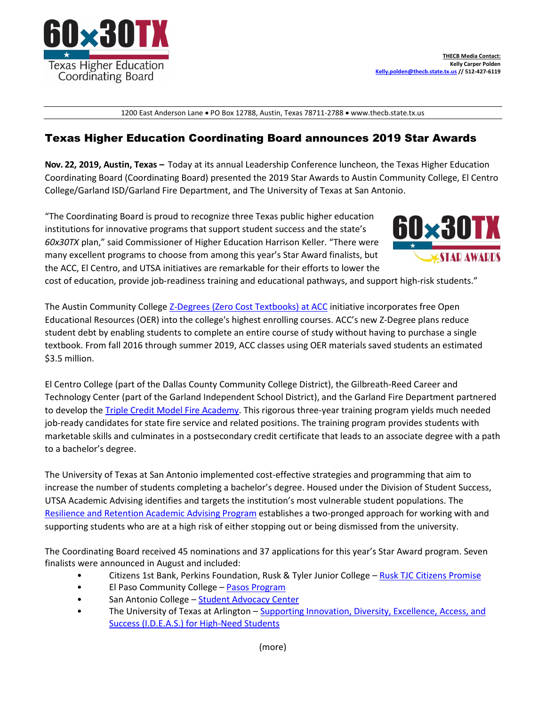

1200 East Anderson Lane • PO Box 12788, Austin, Texas 78711-2788 • www.thecb.state.tx.us

## Texas Higher Education Coordinating Board announces 2019 Star Awards

**Nov. 22, 2019, Austin, Texas –** Today at its annual Leadership Conference luncheon, the Texas Higher Education Coordinating Board (Coordinating Board) presented the 2019 Star Awards to Austin Community College, El Centro College/Garland ISD/Garland Fire Department, and The University of Texas at San Antonio.

"The Coordinating Board is proud to recognize three Texas public higher education institutions for innovative programs that support student success and the state's *60x30TX* plan," said Commissioner of Higher Education Harrison Keller. "There were many excellent programs to choose from among this year's Star Award finalists, but the ACC, El Centro, and UTSA initiatives are remarkable for their efforts to lower the



cost of education, provide job-readiness training and educational pathways, and support high-risk students."

The Austin Community College [Z-Degrees \(Zero Cost Textbooks\) at ACC](https://www.austincc.edu/academic-and-career-programs/z-degree) initiative incorporates free Open Educational Resources (OER) into the college's highest enrolling courses. ACC's new Z-Degree plans reduce student debt by enabling students to complete an entire course of study without having to purchase a single textbook. From fall 2016 through summer 2019, ACC classes using OER materials saved students an estimated \$3.5 million.

El Centro College (part of the Dallas County Community College District), the Gilbreath-Reed Career and Technology Center (part of the Garland Independent School District), and the Garland Fire Department partnered to develop the [Triple Credit Model Fire Academy.](https://www.elcentrocollege.edu/cd/ce/cepgms/public-service/pages/fire-academy.aspx) This rigorous three-year training program yields much needed job-ready candidates for state fire service and related positions. The training program provides students with marketable skills and culminates in a postsecondary credit certificate that leads to an associate degree with a path to a bachelor's degree.

The University of Texas at San Antonio implemented cost-effective strategies and programming that aim to increase the number of students completing a bachelor's degree. Housed under the Division of Student Success, UTSA Academic Advising identifies and targets the institution's most vulnerable student populations. The [Resilience and Retention Academic Advising Program](https://www.utsa.edu/advising/advisor/retention.html) establishes a two-pronged approach for working with and supporting students who are at a high risk of either stopping out or being dismissed from the university.

The Coordinating Board received 45 nominations and 37 applications for this year's Star Award program. Seven finalists were announced in August and included:

- Citizens 1st Bank, Perkins Foundation, Rusk & Tyler Junior College [Rusk TJC Citizens Promise](https://www.tjc.edu/ruskpromise)
- El Paso Community College [Pasos Program](https://www.facebook.com/puenteepcc)
- San Antonio College [Student Advocacy Center](https://www.facebook.com/everythingcomesafter/)
- The University of Texas at Arlington Supporting Innovation, Diversity, Excellence, Access, and [Success \(I.D.E.A.S.\) for High-Need Students](http://www.uta.edu/ideas/title-v/)

(more)